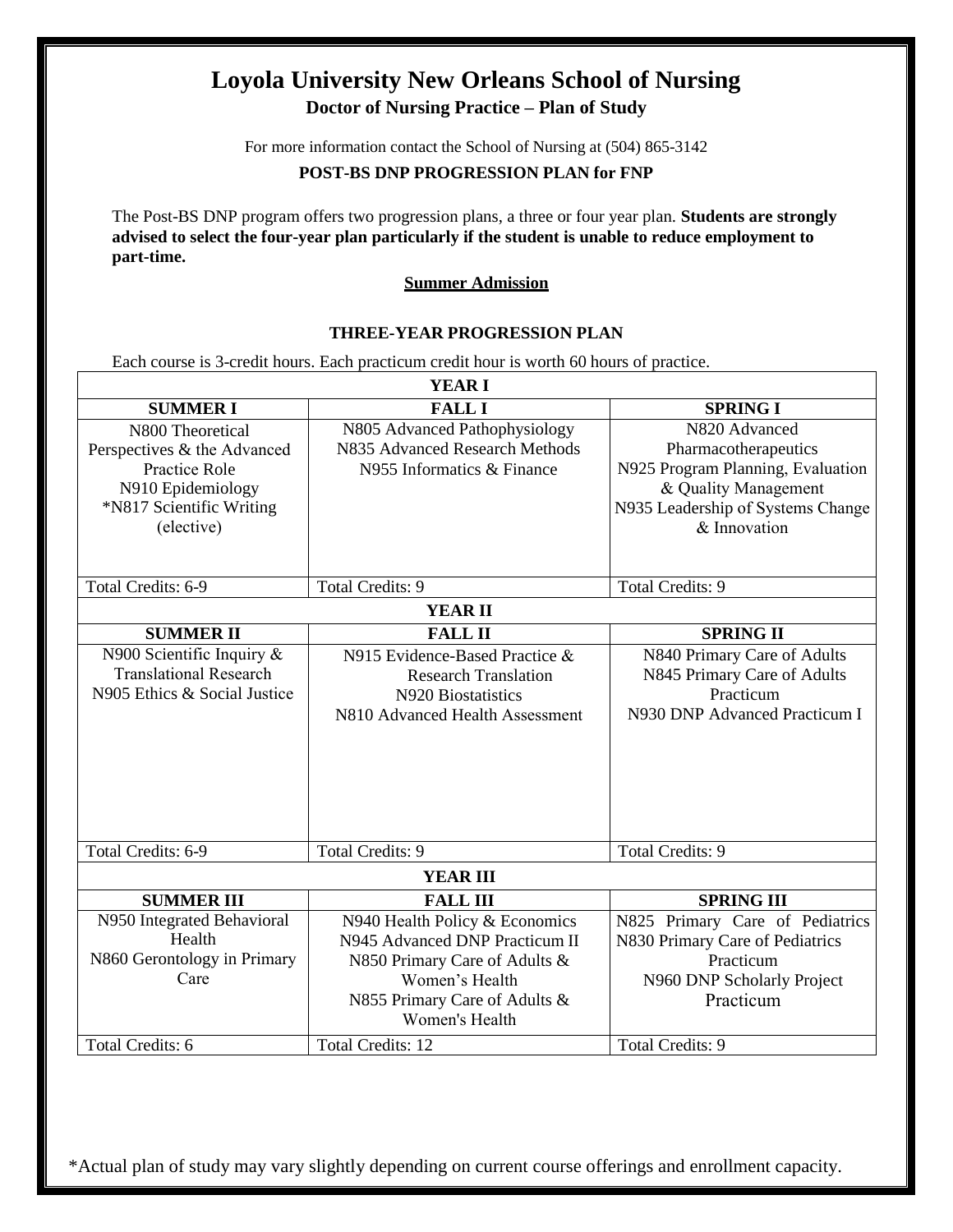# **Loyola University New Orleans School of Nursing Doctor of Nursing Practice – Plan of Study**

For more information contact the School of Nursing at (504) 865-3142

### **POST-BS DNP PROGRESSION PLAN for FNP**

The Post-BS DNP program offers two progression plans, a three or four year plan. **Students are strongly advised to select the four-year plan particularly if the student is unable to reduce employment to part-time.**

#### **Summer Admission**

#### **THREE-YEAR PROGRESSION PLAN**

Each course is 3-credit hours. Each practicum credit hour is worth 60 hours of practice.

|                                      | <b>YEARI</b>                                                     |                                                                    |  |
|--------------------------------------|------------------------------------------------------------------|--------------------------------------------------------------------|--|
| <b>SUMMERI</b>                       | <b>FALL I</b>                                                    | <b>SPRING I</b>                                                    |  |
| N800 Theoretical                     | N805 Advanced Pathophysiology                                    | N820 Advanced                                                      |  |
| Perspectives & the Advanced          | N835 Advanced Research Methods                                   | Pharmacotherapeutics                                               |  |
| Practice Role                        | N955 Informatics & Finance                                       | N925 Program Planning, Evaluation                                  |  |
| N910 Epidemiology                    |                                                                  | & Quality Management                                               |  |
| *N817 Scientific Writing             |                                                                  | N935 Leadership of Systems Change                                  |  |
| (elective)                           |                                                                  | & Innovation                                                       |  |
|                                      |                                                                  |                                                                    |  |
| Total Credits: 6-9                   | <b>Total Credits: 9</b>                                          | <b>Total Credits: 9</b>                                            |  |
| <b>YEAR II</b>                       |                                                                  |                                                                    |  |
| <b>SUMMER II</b>                     | <b>FALL II</b>                                                   | <b>SPRING II</b>                                                   |  |
| N900 Scientific Inquiry &            | N915 Evidence-Based Practice &                                   | N840 Primary Care of Adults                                        |  |
| <b>Translational Research</b>        | <b>Research Translation</b>                                      | N845 Primary Care of Adults                                        |  |
| N905 Ethics & Social Justice         | N920 Biostatistics                                               | Practicum                                                          |  |
|                                      | N810 Advanced Health Assessment                                  | N930 DNP Advanced Practicum I                                      |  |
|                                      |                                                                  |                                                                    |  |
|                                      |                                                                  |                                                                    |  |
|                                      |                                                                  |                                                                    |  |
|                                      |                                                                  |                                                                    |  |
|                                      |                                                                  |                                                                    |  |
| Total Credits: 6-9                   | <b>Total Credits: 9</b>                                          | <b>Total Credits: 9</b>                                            |  |
|                                      | <b>YEAR III</b>                                                  |                                                                    |  |
|                                      |                                                                  | <b>SPRING III</b>                                                  |  |
| <b>SUMMER III</b>                    | <b>FALL III</b>                                                  |                                                                    |  |
| N950 Integrated Behavioral<br>Health | N940 Health Policy & Economics<br>N945 Advanced DNP Practicum II | N825 Primary Care of Pediatrics<br>N830 Primary Care of Pediatrics |  |
| N860 Gerontology in Primary          | N850 Primary Care of Adults &                                    | Practicum                                                          |  |
| Care                                 | Women's Health                                                   | N960 DNP Scholarly Project                                         |  |
|                                      | N855 Primary Care of Adults &                                    | Practicum                                                          |  |
|                                      | Women's Health                                                   |                                                                    |  |
| Total Credits: 6                     | <b>Total Credits: 12</b>                                         | <b>Total Credits: 9</b>                                            |  |
|                                      |                                                                  |                                                                    |  |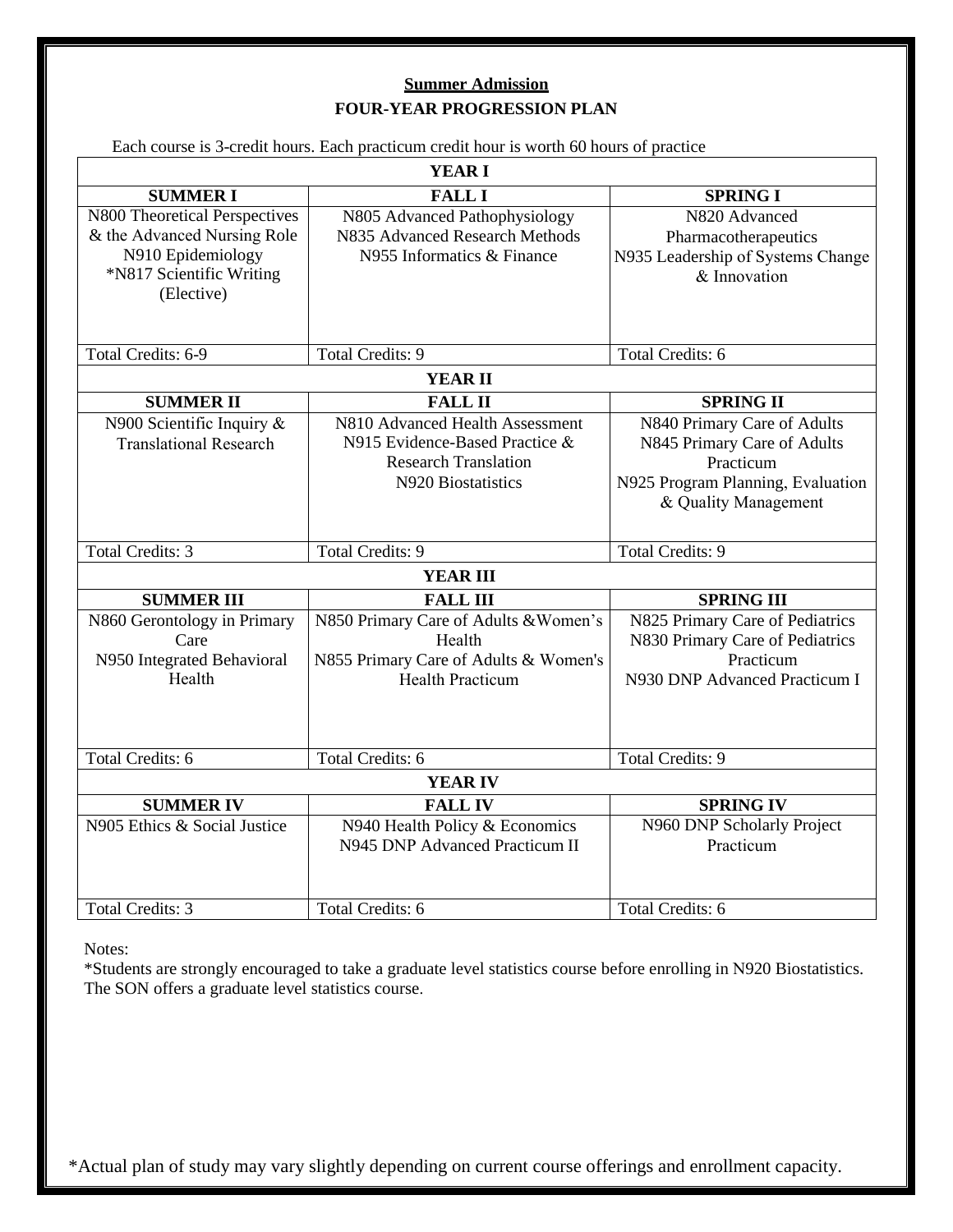### **Summer Admission FOUR-YEAR PROGRESSION PLAN**

|                                                                                                                             | Each course is 3-credit hours. Each practicum credit hour is worth 60 hours of practice                                |                                                                                                                                      |  |  |
|-----------------------------------------------------------------------------------------------------------------------------|------------------------------------------------------------------------------------------------------------------------|--------------------------------------------------------------------------------------------------------------------------------------|--|--|
| <b>YEAR I</b>                                                                                                               |                                                                                                                        |                                                                                                                                      |  |  |
| <b>SUMMER I</b>                                                                                                             | <b>FALL I</b>                                                                                                          | <b>SPRING I</b>                                                                                                                      |  |  |
| N800 Theoretical Perspectives<br>& the Advanced Nursing Role<br>N910 Epidemiology<br>*N817 Scientific Writing<br>(Elective) | N805 Advanced Pathophysiology<br>N835 Advanced Research Methods<br>N955 Informatics & Finance                          | N820 Advanced<br>Pharmacotherapeutics<br>N935 Leadership of Systems Change<br>& Innovation                                           |  |  |
| Total Credits: 6-9                                                                                                          | <b>Total Credits: 9</b>                                                                                                | Total Credits: 6                                                                                                                     |  |  |
| <b>YEAR II</b>                                                                                                              |                                                                                                                        |                                                                                                                                      |  |  |
| <b>SUMMER II</b>                                                                                                            | <b>FALL II</b>                                                                                                         | <b>SPRING II</b>                                                                                                                     |  |  |
| N900 Scientific Inquiry $\&$<br><b>Translational Research</b>                                                               | N810 Advanced Health Assessment<br>N915 Evidence-Based Practice &<br><b>Research Translation</b><br>N920 Biostatistics | N840 Primary Care of Adults<br>N845 Primary Care of Adults<br>Practicum<br>N925 Program Planning, Evaluation<br>& Quality Management |  |  |
| <b>Total Credits: 3</b>                                                                                                     | <b>Total Credits: 9</b>                                                                                                | <b>Total Credits: 9</b>                                                                                                              |  |  |
| <b>YEAR III</b>                                                                                                             |                                                                                                                        |                                                                                                                                      |  |  |
| <b>SUMMER III</b>                                                                                                           | <b>FALL III</b>                                                                                                        | <b>SPRING III</b>                                                                                                                    |  |  |
| N860 Gerontology in Primary<br>Care<br>N950 Integrated Behavioral<br>Health                                                 | N850 Primary Care of Adults & Women's<br>Health<br>N855 Primary Care of Adults & Women's<br><b>Health Practicum</b>    | N825 Primary Care of Pediatrics<br>N830 Primary Care of Pediatrics<br>Practicum<br>N930 DNP Advanced Practicum I                     |  |  |
| <b>Total Credits: 6</b>                                                                                                     | <b>Total Credits: 6</b>                                                                                                | <b>Total Credits: 9</b>                                                                                                              |  |  |
|                                                                                                                             | <b>YEAR IV</b>                                                                                                         |                                                                                                                                      |  |  |
| <b>SUMMER IV</b>                                                                                                            | <b>FALL IV</b>                                                                                                         | <b>SPRING IV</b>                                                                                                                     |  |  |
| N905 Ethics & Social Justice                                                                                                | N940 Health Policy & Economics<br>N945 DNP Advanced Practicum II                                                       | N960 DNP Scholarly Project<br>Practicum                                                                                              |  |  |
| <b>Total Credits: 3</b>                                                                                                     | <b>Total Credits: 6</b>                                                                                                | <b>Total Credits: 6</b>                                                                                                              |  |  |

Notes:

\*Students are strongly encouraged to take a graduate level statistics course before enrolling in N920 Biostatistics. The SON offers a graduate level statistics course.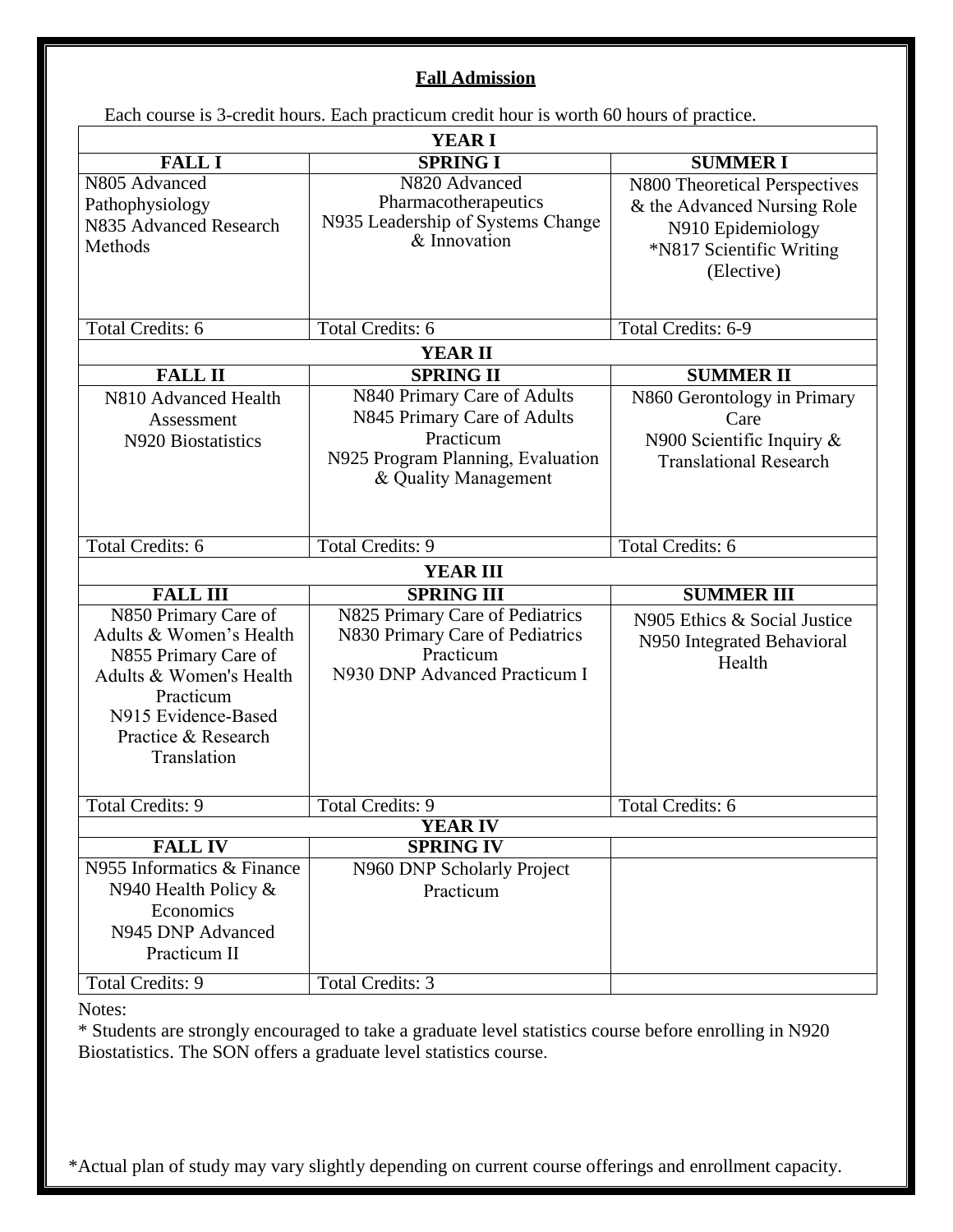### **Fall Admission**

Each course is 3-credit hours. Each practicum credit hour is worth 60 hours of practice.

| <b>YEAR I</b>                                                                                                                                                                |                                                                                                                                      |                                                                                                                             |  |  |
|------------------------------------------------------------------------------------------------------------------------------------------------------------------------------|--------------------------------------------------------------------------------------------------------------------------------------|-----------------------------------------------------------------------------------------------------------------------------|--|--|
| <b>FALL I</b>                                                                                                                                                                | <b>SPRING I</b>                                                                                                                      | <b>SUMMERI</b>                                                                                                              |  |  |
| N805 Advanced<br>Pathophysiology<br>N835 Advanced Research<br>Methods                                                                                                        | N820 Advanced<br>Pharmacotherapeutics<br>N935 Leadership of Systems Change<br>& Innovation                                           | N800 Theoretical Perspectives<br>& the Advanced Nursing Role<br>N910 Epidemiology<br>*N817 Scientific Writing<br>(Elective) |  |  |
| <b>Total Credits: 6</b>                                                                                                                                                      | <b>Total Credits: 6</b>                                                                                                              | Total Credits: 6-9                                                                                                          |  |  |
| <b>YEAR II</b>                                                                                                                                                               |                                                                                                                                      |                                                                                                                             |  |  |
| <b>FALL II</b>                                                                                                                                                               | <b>SPRING II</b>                                                                                                                     | <b>SUMMER II</b>                                                                                                            |  |  |
| N810 Advanced Health<br>Assessment<br>N920 Biostatistics                                                                                                                     | N840 Primary Care of Adults<br>N845 Primary Care of Adults<br>Practicum<br>N925 Program Planning, Evaluation<br>& Quality Management | N860 Gerontology in Primary<br>Care<br>N900 Scientific Inquiry $\&$<br><b>Translational Research</b>                        |  |  |
| <b>Total Credits: 6</b>                                                                                                                                                      | <b>Total Credits: 9</b>                                                                                                              | <b>Total Credits: 6</b>                                                                                                     |  |  |
|                                                                                                                                                                              | <b>YEAR III</b>                                                                                                                      |                                                                                                                             |  |  |
| <b>FALL III</b>                                                                                                                                                              | <b>SPRING III</b>                                                                                                                    | <b>SUMMER III</b>                                                                                                           |  |  |
| N850 Primary Care of<br>Adults & Women's Health<br>N855 Primary Care of<br>Adults & Women's Health<br>Practicum<br>N915 Evidence-Based<br>Practice & Research<br>Translation | N825 Primary Care of Pediatrics<br>N830 Primary Care of Pediatrics<br>Practicum<br>N930 DNP Advanced Practicum I                     | N905 Ethics & Social Justice<br>N950 Integrated Behavioral<br>Health                                                        |  |  |
| <b>Total Credits: 9</b>                                                                                                                                                      | <b>Total Credits: 9</b>                                                                                                              | <b>Total Credits: 6</b>                                                                                                     |  |  |
|                                                                                                                                                                              | <b>YEAR IV</b>                                                                                                                       |                                                                                                                             |  |  |
| <b>FALLIV</b>                                                                                                                                                                | <b>SPRING IV</b>                                                                                                                     |                                                                                                                             |  |  |
| N955 Informatics & Finance<br>N940 Health Policy &<br>Economics<br>N945 DNP Advanced<br>Practicum II<br><b>Total Credits: 9</b>                                              | N960 DNP Scholarly Project<br>Practicum<br><b>Total Credits: 3</b>                                                                   |                                                                                                                             |  |  |
|                                                                                                                                                                              |                                                                                                                                      |                                                                                                                             |  |  |

Notes:

\* Students are strongly encouraged to take a graduate level statistics course before enrolling in N920 Biostatistics. The SON offers a graduate level statistics course.